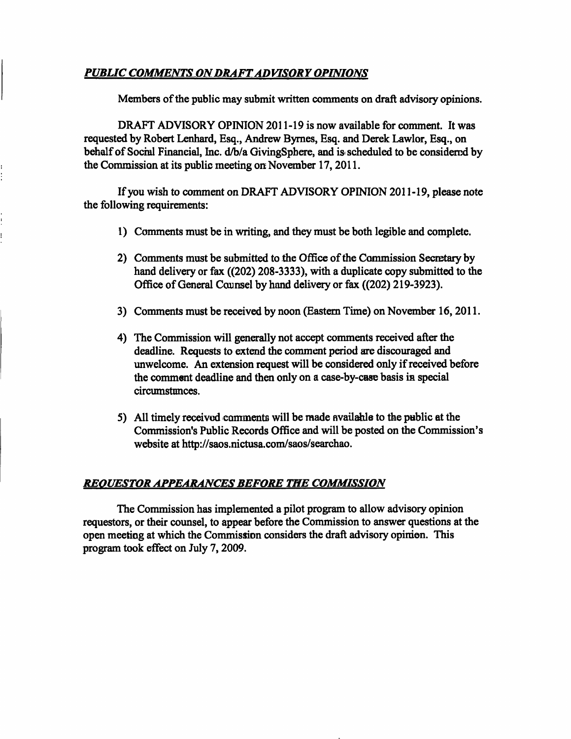#### *PUBUC COMMENTS ON DRAFT ADVISORY OPINIONS*

 $\vdots$ 

Members of the public may submit written comments on draft advisory opinions.

DRAFT ADVISORY OPINION 2011-19 is now available for comment. It was requested by Robert Lenhard, Esq., Andrew Bymes, Esq. and Derek Lawlor, Esq., on behalf of Social Financial, Inc. d/b/a GivingSphere, and is scheduled to be considered by the Commission at its public meeting on November 17,2011.

If you wish to comment on DRAFT ADVISORY OPINION 2011-19, please note the following requirements:

- 1) Comments must be in writing, and they must be both legible and complete.
- 2) Comments must be submitted to the Office of the Commission Secretary by hand delivery or fax ((202) 208-3333), with a duplicate copy submitted to the Office of General Counsel by hand delivery or fax ((202) 219-3923).
- 3) Comments must be received by noon (Eastem Time) on November 16,2011.
- 4) The Commission will generally not accept comments received after the deadline. Requests to extend the comment period are discouraged and unwelcome. An extension request will be considered only if received before the comment deadline and then only on a case-by-case basis in special circumstances.
- 5) All timely received comments will be made available to the public at the Commission's Public Records Office and will be posted on the Commission's website at http://saos.nictusa.com/saos/searchao.

#### *REOUESTOR APPEARANCES BEFORE THE COMMISSION*

The Commission has implemented a pilot program to allow advisory opinion requestors, or their counsel, to appear before the Commission to answer questions at the open meeting at which the Commission considers the draft advisory opinion. This program took effect on July 7,2009.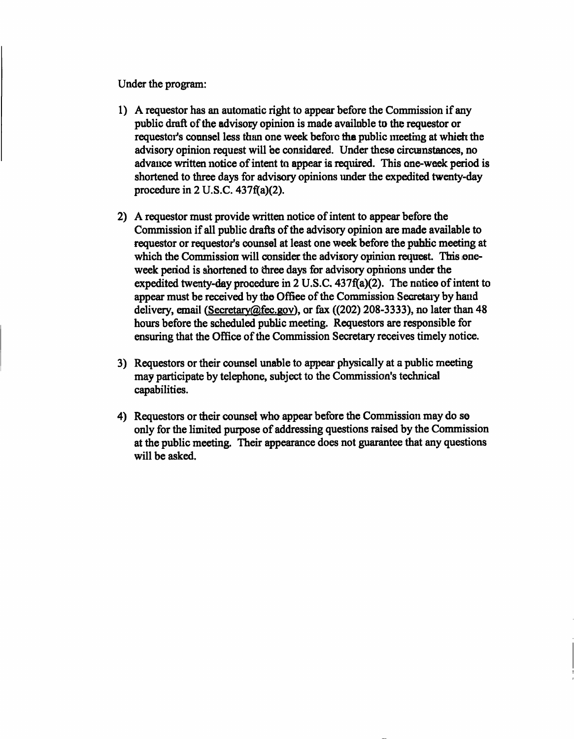**Under the program:** 

- **1) A requestor has an automatic right to appear before the Commission if any public draft of the advisory opinion is made available to the requestor or requestor's counsel less than one week before the public meeting at which the advisory opinion request will be considered. Under these circumstances, no advance written notice of intent to appear is required. This one-week period is shortened to three days for advisory opinions under the expedited twenty-day procedure in 2 U.S.C. 437f(a)(2).**
- **2) A requestor must provide written notice of intent to appear before the**  Commission if all public drafts of the advisory opinion are made available to **requestor or requestor's counsel at least one week before the public meeting at which the Commission will consider the advisory opinion request. This oneweek period is shortened to three days for advisory opinions under the expedited twenty-day procedure in 2 U.S.C. 437f(a)(2). The notice of intent to appear must be received by the Office of the Commission Secretary by hand delivery, email (Secretarv@fec.gov), or fax ((202) 208-3333), no later than 48 hours before the scheduled public meeting. Requestors are responsible for**  ensuring that the Office of the Commission Secretary receives timely notice.
- **3) Requestors or their counsel unable to appear physically at a public meeting may participate by telephone, subject to the Commission's technical capabilities.**
- **4) Requestors or their counsel who appear before the Commission may do so only for the limited purpose of addressing questions raised by the Commission at the public meeting. Their appearance does not guarantee that any questions will be asked.**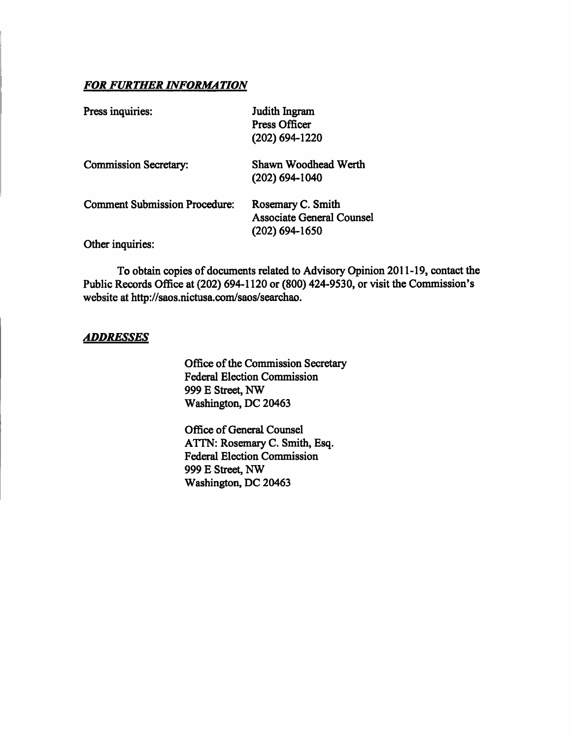#### *FOR FURTHER INFORMATION*

| Press inquiries:                     | Judith Ingram<br><b>Press Officer</b><br>$(202)$ 694-1220                 |
|--------------------------------------|---------------------------------------------------------------------------|
| <b>Commission Secretary:</b>         | Shawn Woodhead Werth<br>$(202)$ 694-1040                                  |
| <b>Comment Submission Procedure:</b> | Rosemary C. Smith<br><b>Associate General Counsel</b><br>$(202)$ 694-1650 |
| Other inquiries:                     |                                                                           |

To obtain copies of documents related to Advisory Opinion 2011-19, contact the Public Records Office at (202) 694-1120 or (800) 424-9530, or visit the Commission's website at http://saos.nictusa.com/saos/searchao.

#### *ADDRESSES*

Office of the Commission Secretary Federal Election Commission 999 E Street, NW Washington, DC 20463

Office of General Counsel ATTN: Rosemary C. Smith, Esq. Federal Election Commission 999 E Street, NW Washington, DC 20463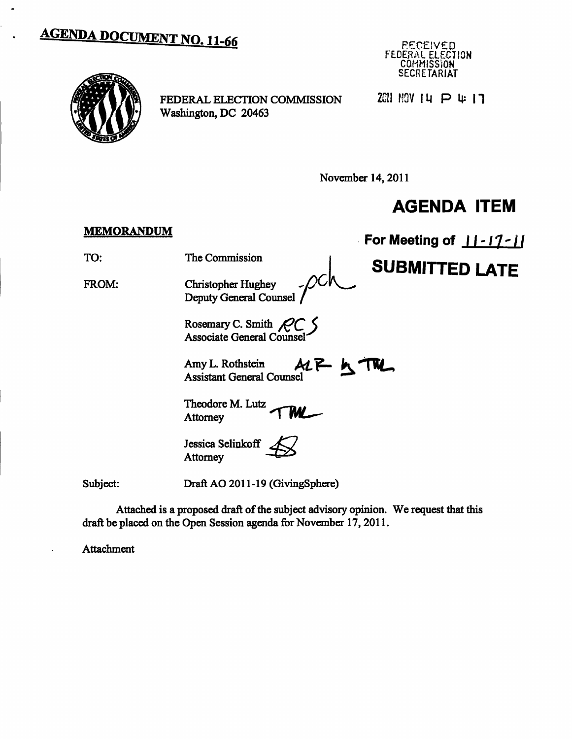# **AGENDA DOCUMENT NO. 11-66**





FEDERAL ELECTION COMMISSION Washington, DC 20463

 $2CII$  MOV  $I$   $\Pi$   $\Pi$   $\Pi$   $\Pi$ 

November 14, 2011

## **AGENDA ITEM**

### **MEMORANDUM For Meeting of 11-17-11** TO: The Commission **^1 SUBMITTED LATE**  FROM: Christopher Hughey  $\mathcal{V}$ Deputy General Counsel Rosemary C. Smith  $\mathcal{P} C$ Associate General Counsel Amy L. Rothstein  $ALP$ **K** Assistant General Counsel Theodore M. Lutz WŁ Attomey Jessica Selinkoff Attomey Subject: Draft AO 2011-19 (GivingSphere)

Attached is a proposed draft of the subject advisory opinion. We request that this draft be placed on the Open Session agenda for November 17,2011.

Attachment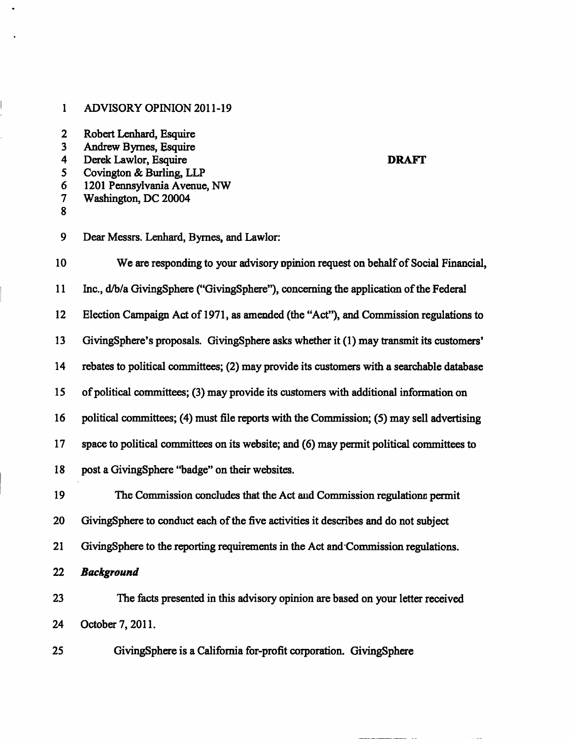#### 1 ADVISORY OPINION 2011-19

| 2 |  | Robert Lenhard, Esquire |  |
|---|--|-------------------------|--|
|---|--|-------------------------|--|

- 3 Andrew Bymes, Esquire
- **4 Derek Lawlor, Esquire DRAFT**
- 5 Covington & Burling, LLP
- 6 1201 Pennsylvania Avenue, NW
- 7 Washington, DC 20004
- 8

9 Dear Messrs. Lenhard, Bymes, and Lawlor:

10 We are responding to your advisory opinion request on behalf of Social Financial, 11 Inc., d^/a GivingSphere ("GivingSphere"), conceming the application of the Federal 12 Election Campaign Act of 1971, as amended (the "Act"), and Commission regulations to 13 GivingSphere's proposals. GivingSphere asks whether it (1) may transmit its customers' 14 rebates to political committees; (2) may provide its customers with a searchable database 15 of political committees; (3) may provide its customers with additional information on 16 political committees; (4) must file reports with the Commission; (5) may sell advertising 17 space to political committees on its website; and (6) may permit political committees to 18 post a GivingSphere "badge" on their websites. 19 The Commission concludes that the Act and Commission regulations permit 20 GivingSphere to conduct each of the five activities it describes and do not subject

- 21 GivingSphere to the reporting requirements in the Act and Commission regulations.
- *22 Background*

23 The facts presented in this advisory opinion are based on your letter received 24 October 7, 2011.

25 GivingSphere is a Califomia for-profit corporation. GivingSphere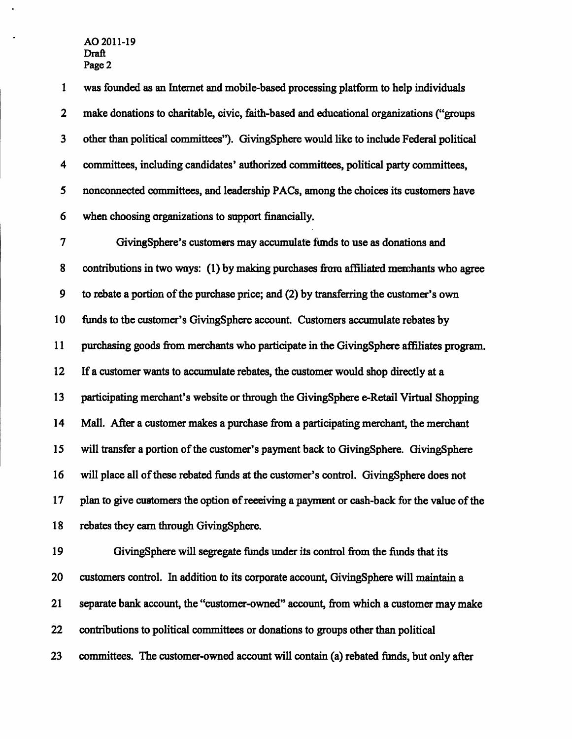**1 was founded as an Intemet and mobile-based processing platform to help individuals 2 make donations to charitable, civic, faith-based and educational organizations ("groups 3 other than political committees"). GivingSphere would like to include Federal political 4 committees, including candidates' authorized committees, political party committees, 5 nonconnected committees, and leadership PACs, among the choices its customers have 6 when choosing organizations to support financially. 7 GivingSphere's customers may accumulate funds to use as donations and 8 contributions in two ways: (1) by making purchases firom affiliated merchants who agree 9 to rebate a portion of the purchase price; and (2) by transferring the customer's own 10 funds to the customer's GivingSphere account. Customers accumulate rebates by 11 purchasing goods fiom merchants who participate in the GivingSphere affiliates program. 12 If a customer wants to accumulate rebates, the customer would shop directiy at a 13 participating merchant's website or through the GivingSphere e-Retail Virtual Shopping 14 Mali After a customer makes a purchase firom a participating merchant, the merchant 15 will transfer a portion of the customer's payment back to GivingSphere. GivingSphere 16 will place all of these rebated funds at the customer's control. GivingSphere does not 17 plan to give customers the option of receiving a payment or cash-back for the value of the 18 rebates they eam through GivingSphere.**  19 GivingSphere will segregate funds under its control from the funds that its **20 customers control. In addition to its corporate account, GivingSphere will maintain a** 

**21 separate bank account, the "customer-owned" account, from which a customer may make** 

**22 contributions to political committees or donations to groups other than political** 

**23 committees. The customer-owned account will contain (a) rebated funds, but only after**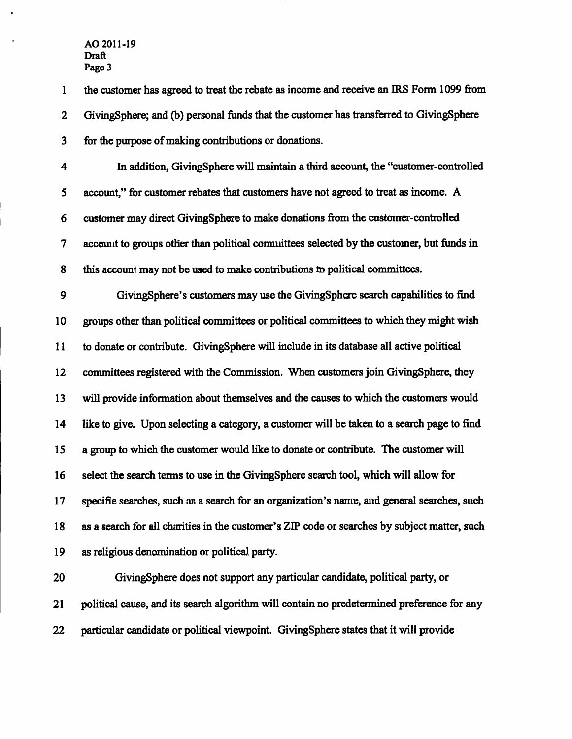**1 the customer has agreed to treat the rebate as income and receive an IRS Form 1099 from 2 GivingSphere; and (b) personal funds that the customer has transferred to GivingSphere 3 for the purpose of making contributions or donations.** 

**4 In addition, GivingSphere will maintain a third account, the "customer-controlled 5 account," for customer rebates that customers have not agreed to treat as income. A 6 customer may direct GivingSphere to make donations firom the customer-controlled 7 account to groups other than political committees selected by the customer, but funds in 8 this account may not be used to make contributions to political committees.** 

**9 GivingSphere's customers may use the GivingSphere search capabilities to find 10 groups other than political committees or political committees to which they might wish 11 to donate or contribute. GivingSphere will include in its database all active political**  12 committees registered with the Commission. When customers join GivingSphere, they **13 will provide information about themselves and the causes to which the customers would 14 like to give. Upon selecting a category, a customer will be taken to a search page to find 15 a group to which the customer would like to donate or contribute. The customer will 16 select the search terms to use in the GivingSphere search tool, which will allow for 17 specific searches, such as a search for an organization's name, and general searches, such 18 as a search for all charities in the customer's ZIP code or searches by subject matter, such 19 as religious denomination or political party.** 

**20 GivingSphere does not support any particular candidate, political party, or 21 political cause, and its search algorithm will contain no predetermined preference for any 22 particular candidate or political viewpoint. GivingSphere states that it will provide**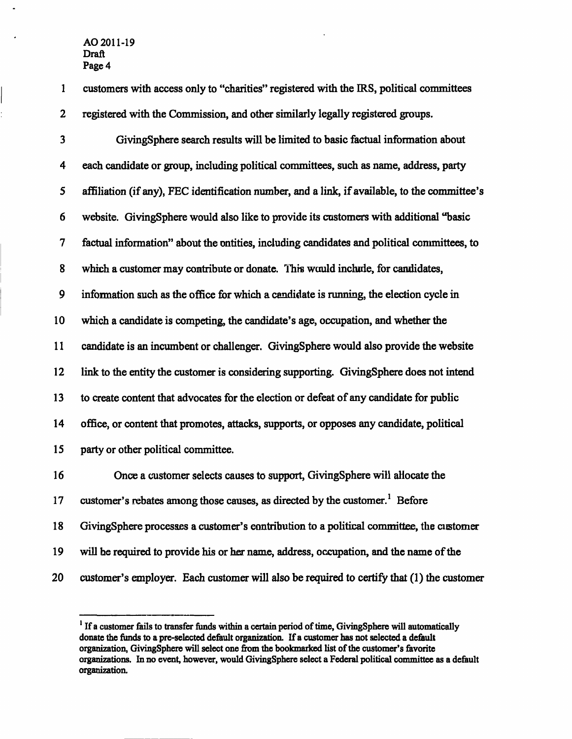**1 customers with access only to "charities" registered with the IRS, political committees 2 registered with the Commission, and other similarly legally registered groups.** 

**3 GivingSphere search results will be limited to basic factual information about 4 each candidate or group, mcluding political committees, such as name, address, party 5 affiliation (if any), FEC identification number, and a link, if available, to the committee's 6 website. GivingSphere would also like to provide its customers with additional "basic 7 factual information" about the entities, including candidates and political committees, to**  8 which a customer may contribute or donate. This would include, for candidates, **9 information such as the office for which a candidate is running, the election cycle in 10 which a candidate is competing, the candidate's age, occupation, and whether the 11 candidate is an incumbent or challenger. GivingSphere would also provide the website 12 link to the entity the customer is considering supporting. GivingSphere does not intend 13 to create content that advocates for the election or defeat of any candidate for public 14 office, or content that promotes, attacks, supports, or opposes any candidate, political 15 party or other political committee. 16 Once a customer selects causes to support, GivingSphere will allocate the 17 customer's rebates among those causes, as directed by the customer. ^ Before 18 GivingSphere processes a customer's contribution to a political committee, the customer 19 will be required to provide his or her name, address, occupation, and the name of the** 

**20 customer's employer. Each customer will also be required to certify that (1) the customer** 

**<sup>&#</sup>x27; If a customer fails to transfer funds within a certain period of time, GivingSphere will automatically**  donate the funds to a pre-selected default organization. If a customer has not selected a default organization, GivingSphere will select one from the bookmarked list of the customer's favorite organizations. In no event, however, would GivingSphere select a Federal political committee as a default **organization.**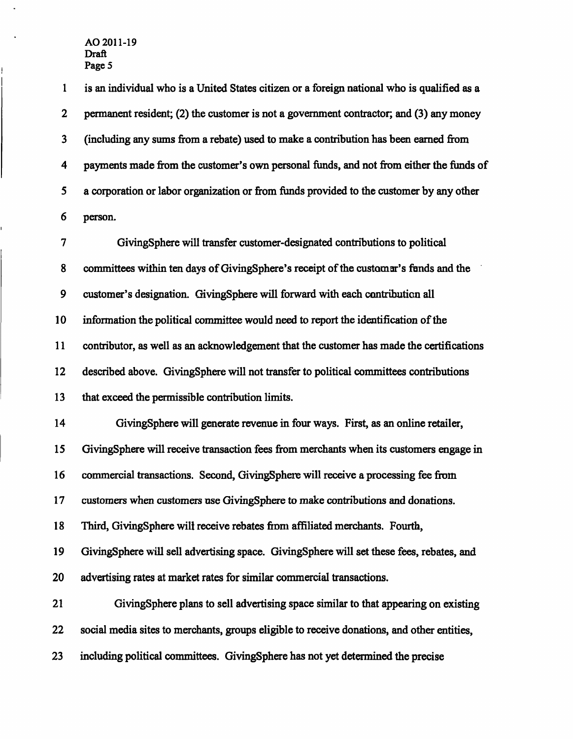**1 is an individual who is a United States citizen or a foreign national who is qualified as a 2 permanent resident; (2) the customer is not a govemment contractor; and (3) any money 3 (including any sums from a rebate) used to make a contribution has been eamed from 4 payments made from the customer's own personal funds, and not from either the funds of 5 a corporation or labor organization or from funds provided to the customer by any other 6 person.** 

**7 GivingSphere will transfer customer-designated contributions to political 8 committees within ten days of GivingSphere's receipt of the customer's funds and the 9 customer's designation. GivingSphere will forward vidth each contribution all 10 information the political committee would need to report the identification of the 11 contributor, as well as an acknowledgement that the customer has made the certifications**  12 described above. GivingSphere will not transfer to political committees contributions **13 that exceed the permissible contribution limits.** 

**14 GivingSphere will generate revenue in four ways. First, as an online retailer, 15 GivingSphere will receive transaction fees from merchants when its customers engage in 16 commercial transactions. Second, GivingSphere will receive a processing fee from 17 customers when customers use GivingSphere to make contributions and donations. 18 Third, GivingSphere will receive rebates from affiliated merchants. Fourth,** 

**19 GivingSphere will sell advertising space. GivingSphere will set these fees, rebates, and 20 advertising rates at market rates for similar commercial transactions.** 

**21 GivingSphere plans to sell advertising space similar to that appearing on existing 22 social media sites to merchants, groups eligible to receive donations, and other entities, 23 including political committees. GivingSphere has not yet determined the precise**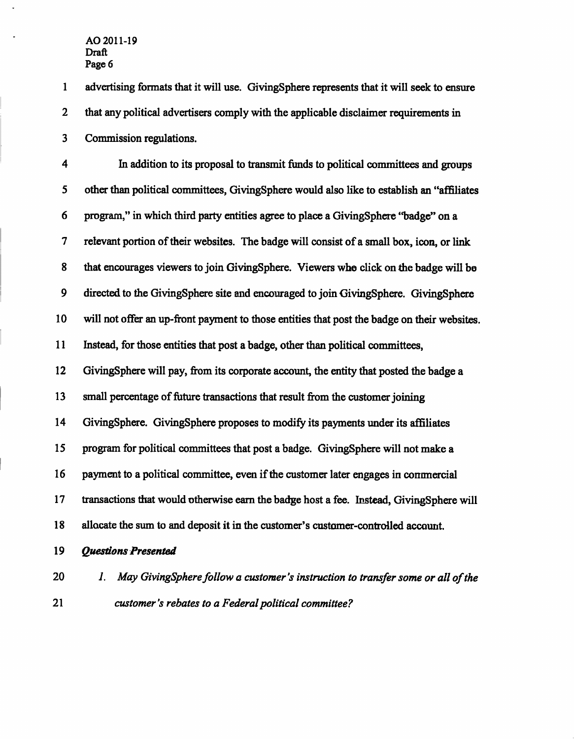**1 advertising formats that it will use. GivingSphere represents that it will seek to ensure 2 that any political advertisers comply with the applicable disclaimer requirements in 3 Commission regulations.** 

**4 In addition to its proposal to transmit fimds to political committees and groups 5 other than political committees, GivingSphere would also like to establish an "affiliates 6 program," in which third party entities agree to place a GivingSphere \*\*badge" on a 7 relevant portion of their websites. The badge will consist of a small box, icon, or link 8 that encourages viewers to join GivingSphere. Viewers who click on the badge will be 9 directed to the GivingSphere site and encouraged to join GivingSphere. GivingSphere 10 will not offer an up-front payment to those entities that post the badge on their websites. 11 Instead, for those entities that post a badge, other than political committees, 12 GivingSphere will pay, from its corporate account, the entity that posted the badge a 13 small percentage of future transactions that result from the customer joining 14 GivingSphere. GivingSphere proposes to modify its payments under its affiliates 15 program for political committees that post a badge. GivingSphere will not make a 16 payment to a political committee, even if the customer later engages in commercial 17 transactions that would otherwise eam the badge host a fee. Instead, GivingSphere will 18 allocate the sum to and deposit it in the customer's customer-controlled account.** 

- *19 Questions Presented*
- 
- *20 1. May GivingSphere follow a customer's instruction to transfer some or all of the 21 customer's rebates to a Federal political committee?*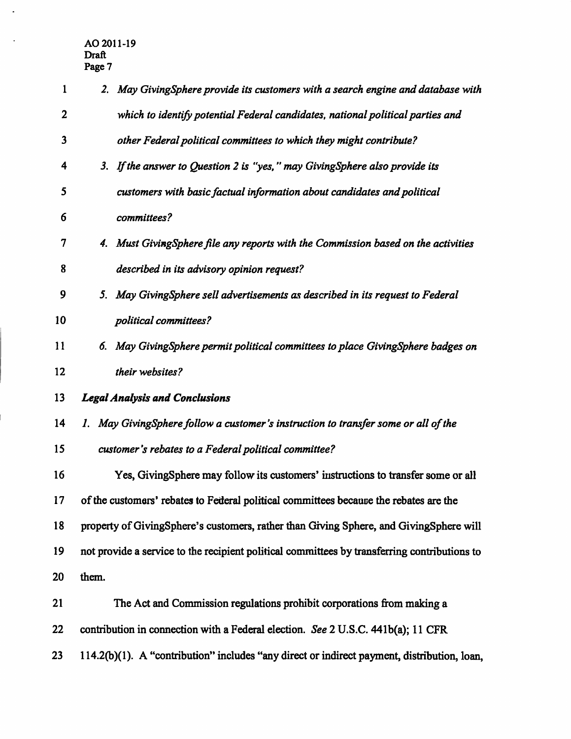$\blacksquare$ 

 $\bar{z}$ 

| 1            | 2. May GivingSphere provide its customers with a search engine and database with             |
|--------------|----------------------------------------------------------------------------------------------|
| $\mathbf{2}$ | which to identify potential Federal candidates, national political parties and               |
| $\mathbf{3}$ | other Federal political committees to which they might contribute?                           |
| 4            | 3. If the answer to Question 2 is "yes," may Giving Sphere also provide its                  |
| 5            | customers with basic factual information about candidates and political                      |
| 6            | committees?                                                                                  |
| 7            | 4. Must Giving Sphere file any reports with the Commission based on the activities           |
| 8            | described in its advisory opinion request?                                                   |
| 9            | 5. May GivingSphere sell advertisements as described in its request to Federal               |
| 10           | political committees?                                                                        |
| 11           | May GivingSphere permit political committees to place GivingSphere badges on<br>б.           |
| 12           | their websites?                                                                              |
| 13           | <b>Legal Analysis and Conclusions</b>                                                        |
| 14           | 1. May GivingSphere follow a customer's instruction to transfer some or all of the           |
| 15           | customer's rebates to a Federal political committee?                                         |
| 16           | Yes, GivingSphere may follow its customers' instructions to transfer some or all             |
| 17           | of the customers' rebates to Federal political committees because the rebates are the        |
| 18           | property of GivingSphere's customers, rather than Giving Sphere, and GivingSphere will       |
| 19           | not provide a service to the recipient political committees by transferring contributions to |
| 20           | them.                                                                                        |
| 21           | The Act and Commission regulations prohibit corporations from making a                       |
| 22           | contribution in connection with a Federal election. See 2 U.S.C. 441b(a); 11 CFR             |
| 23           | 114.2(b)(1). A "contribution" includes "any direct or indirect payment, distribution, loan,  |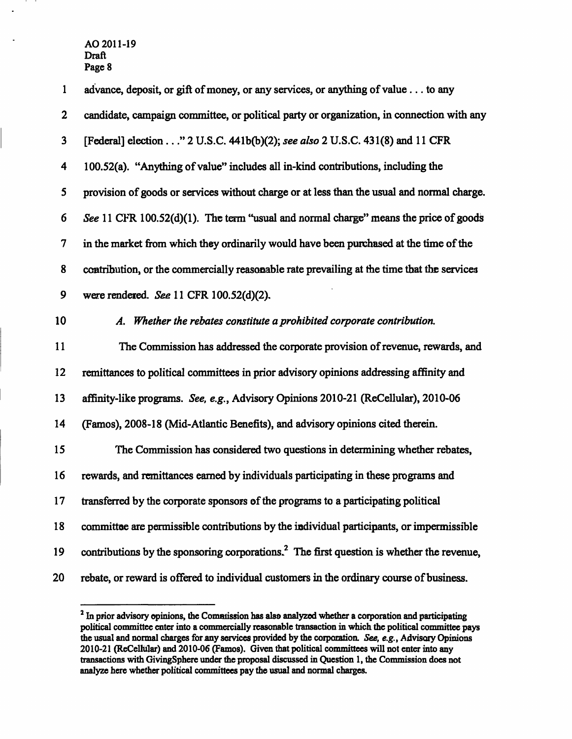| $\mathbf{1}$     | advance, deposit, or gift of money, or any services, or anything of value to any                      |
|------------------|-------------------------------------------------------------------------------------------------------|
| $\boldsymbol{2}$ | candidate, campaign committee, or political party or organization, in connection with any             |
| $\mathbf{3}$     | [Federal] election" 2 U.S.C. 441b(b)(2); see also 2 U.S.C. 431(8) and 11 CFR                          |
| 4                | 100.52(a). "Anything of value" includes all in-kind contributions, including the                      |
| 5                | provision of goods or services without charge or at less than the usual and normal charge.            |
| 6                | See 11 CFR 100.52(d)(1). The term "usual and normal charge" means the price of goods                  |
| $\boldsymbol{7}$ | in the market from which they ordinarily would have been purchased at the time of the                 |
| 8                | contribution, or the commercially reasonable rate prevailing at the time that the services            |
| 9                | were rendered. See 11 CFR 100.52(d)(2).                                                               |
| 10               | A. Whether the rebates constitute a prohibited corporate contribution.                                |
| 11               | The Commission has addressed the corporate provision of revenue, rewards, and                         |
| 12               | remittances to political committees in prior advisory opinions addressing affinity and                |
| 13               | affinity-like programs. See, e.g., Advisory Opinions 2010-21 (ReCellular), 2010-06                    |
| 14               | (Famos), 2008-18 (Mid-Atlantic Benefits), and advisory opinions cited therein.                        |
| 15               | The Commission has considered two questions in determining whether rebates,                           |
| 16               | rewards, and remittances earned by individuals participating in these programs and                    |
| 17 <sup>7</sup>  | transferred by the corporate sponsors of the programs to a participating political                    |
| 18               | committee are permissible contributions by the individual participants, or impermissible              |
| 19               | contributions by the sponsoring corporations. <sup>2</sup> The first question is whether the revenue, |
| 20               | rebate, or reward is offered to individual customers in the ordinary course of business.              |

<sup>&</sup>lt;sup>2</sup> In prior advisory opinions, the Commission has also analyzed whether a corporation and participating political committee enter into a commercially reasonable transaction in which the political committee pays the usual and normal charges for any services provided by the corporation. See, e.g., Advisory Opinions 2010-21 (ReCellular) and 2010-06 (Famos). Given that political committees will not enter into any **transactions with GivingSphere under the proposal discussed in Question 1, the Commission does not analyze here whether political committees pay the usual and normal charges.**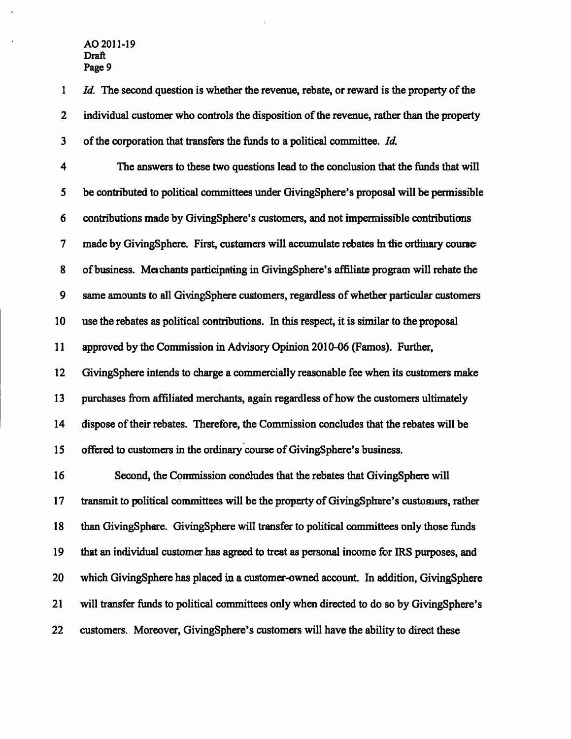**1 Id. The second question is whether the revenue, rebate, or reward is the property of the 2 individual customer who controls the disposition of the revenue, rather than the property**  *3 of the corporation that transfers the funds to a political committee. Id.* 

**4 The answers to these two questions lead to the conclusion that the fimds that will 5 be contributed to political committees under GivingSphere's proposal will be permissible 6 contributions made by GivingSphere's customers, and not impermissible contributions 7 made by GivingSphere. First, customers will accumulate rebates in the ordinary course 8 of business. Merchants participating in GivingSphere's affiliate program will rebate the 9** same amounts to all GivingSphere customers, regardless of whether particular customers **10 use the rebates as political contributions. In this respect, it is similar to the proposal 11 approved by the Commission in Advisory Opinion 2010-06 (Famos). Further, 12 GivingSphere intends to charge a commercially reasonable fee when its customers make 13 purchases from affiliated merchants, again regardless of how the customers ultimately 14 dispose of their rebates. Therefore, the Commission concludes that the rebates will be 15 offered to customers in the ordinary course of GivingSphere's business.** 

**16 Second, the Commission concludes that the rebates that GivingSphere will 17 transmit to political committees will be the property of GivingSphere's customers, rather**  18 than GivingSphere. GivingSphere will transfer to political committees only those funds **19 that an individual customer has agreed to treat as personal income for IRS purposes, and 20 which GivingSphere has placed in a customer-owned accoimt. In addition, GivingSphere 21 will transfer fimds to political committees only when directed to do so by GivingSphere's 22 customers. Moreover, GivingSphere's customers will have the ability to direct these**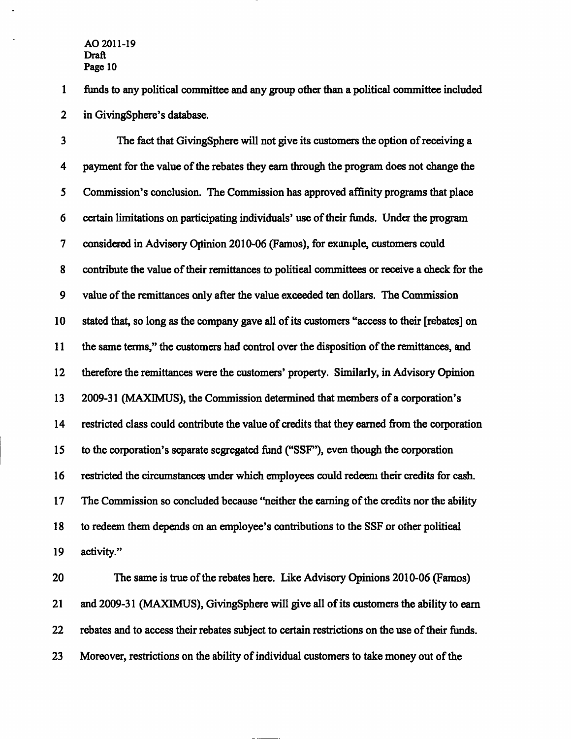**1 funds to any political committee and any group other than a political committee included 2 in GivingSphere's database.** 

**3 The fact that GivingSphere will not give its customers the option of receiving a 4 payment for the value of the rebates they eam through the program does not change the 5 Commission's conclusion. The Commission has approved affinity programs that place 6 certain limitations on participating individuals' use of their funds. Under the program 7 considered in Advisory Opinion 2010-06 (Famos), for example, customers could 8 contribute the value of their remittances to political committees or receive a check for the 9 value of the remittances only after the value exceeded ten dollars. The Commission 10 stated that, so long as the company gave all of its customers "access to their [rebates] on 11 the same terms," the customers had control over the disposition of the remittances, and 12 therefore the remittances were the customers'property. Similarly, in Advisory Opinion 13 2009-31 (MAXIMUS), the Commission determined that members of a corporation's 14 restricted class could contribute the value of credits that they eamed from the corporation 15 to the corporation's separate segregated fund ("SSF"), even though the corporation 16 restricted the circumstances under which employees could redeem their credits for cash. 17 The Commission so concluded because "neither the eaming of the credits nor the ability 18 to redeem them depends on an employee's contributions to the SSF or other political 19 activity."** 

**20 The same is true of the rebates here. Like Advisory Opinions 2010-06 (Famos) 21 and 2009-31 (MAXIMUS), GivingSphere will give all of its customers the ability to eam 22 rebates and to access their rebates subject to certain restrictions on the use of their fimds. 23 Moreover, restrictions on the ability of individual customers to take money out of the**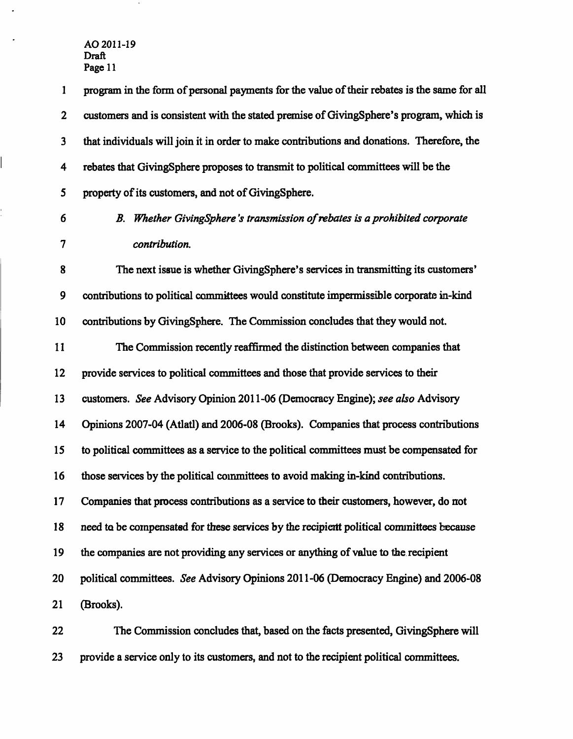$\ddot{\phantom{1}}$ 

 $\mathbb{R}^2$ 

Ļ,

 $\sim$ 

| 1                        | program in the form of personal payments for the value of their rebates is the same for all |
|--------------------------|---------------------------------------------------------------------------------------------|
| $\mathbf{2}$             | customers and is consistent with the stated premise of GivingSphere's program, which is     |
| $\mathbf{3}$             | that individuals will join it in order to make contributions and donations. Therefore, the  |
| $\overline{\mathbf{4}}$  | rebates that GivingSphere proposes to transmit to political committees will be the          |
| 5                        | property of its customers, and not of GivingSphere.                                         |
| 6                        | B. Whether GivingSphere's transmission of rebates is a prohibited corporate                 |
| $\overline{\mathcal{U}}$ | contribution.                                                                               |
| 8                        | The next issue is whether GivingSphere's services in transmitting its customers'            |
| 9                        | contributions to political committees would constitute impermissible corporate in-kind      |
| 10                       | contributions by GivingSphere. The Commission concludes that they would not.                |
| 11                       | The Commission recently reaffirmed the distinction between companies that                   |
| 12                       | provide services to political committees and those that provide services to their           |
| 13                       | customers. See Advisory Opinion 2011-06 (Democracy Engine); see also Advisory               |
| 14                       | Opinions 2007-04 (Atlatl) and 2006-08 (Brooks). Companies that process contributions        |
| 15                       | to political committees as a service to the political committees must be compensated for    |
| 16                       | those services by the political committees to avoid making in-kind contributions.           |
| 17                       | Companies that process contributions as a service to their customers, however, do not       |
| 18                       | need to be compensated for these services by the recipient political committees because     |
| 19                       | the companies are not providing any services or anything of value to the recipient          |
| 20                       | political committees. See Advisory Opinions 2011-06 (Democracy Engine) and 2006-08          |
| 21                       | (Brooks).                                                                                   |
| 22                       | The Commission concludes that, based on the facts presented, GivingSphere will              |

**23 provide a service only to its customers, and not to the recipient political committees.**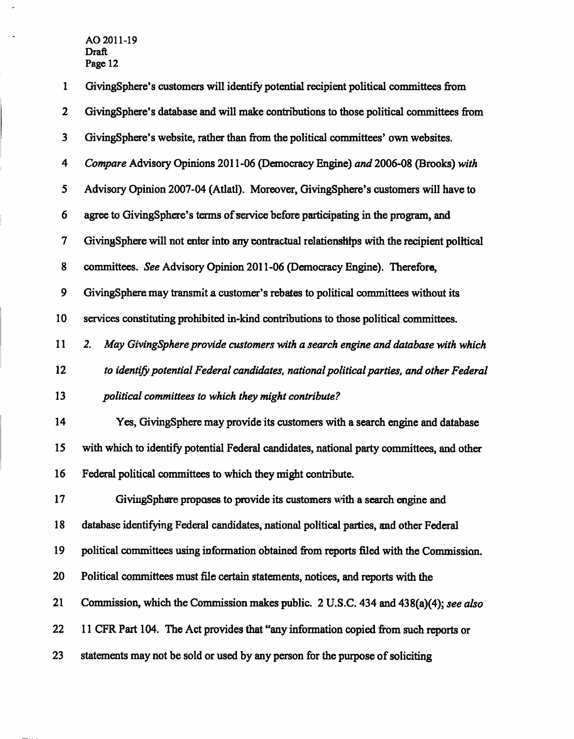$\bar{z}$ 

 $\hat{\mathbf{z}}$ 

| $\mathbf{1}$     | GivingSphere's customers will identify potential recipient political committees from        |
|------------------|---------------------------------------------------------------------------------------------|
| $\mathbf 2$      | GivingSphere's database and will make contributions to those political committees from      |
| 3                | GivingSphere's website, rather than from the political committees' own websites.            |
| 4                | Compare Advisory Opinions 2011-06 (Democracy Engine) and 2006-08 (Brooks) with              |
| 5                | Advisory Opinion 2007-04 (Atlatl). Moreover, GivingSphere's customers will have to          |
| 6                | agree to GivingSphere's terms of service before participating in the program, and           |
| $\boldsymbol{7}$ | GivingSphere will not enter into any contractual relationships with the recipient political |
| 8                | committees. See Advisory Opinion 2011-06 (Democracy Engine). Therefore,                     |
| 9                | GivingSphere may transmit a customer's rebates to political committees without its          |
| 10               | services constituting prohibited in-kind contributions to those political committees.       |
| 11               | May GivingSphere provide customers with a search engine and database with which<br>2.       |
| 12               | to identify potential Federal candidates, national political parties, and other Federal     |
| 13               | political committees to which they might contribute?                                        |
| 14               | Yes, Giving Sphere may provide its customers with a search engine and database              |
| 15               | with which to identify potential Federal candidates, national party committees, and other   |
| 16               | Federal political committees to which they might contribute.                                |
| 17               | GivingSphere proposes to provide its customers with a search engine and                     |
| 18               | database identifying Federal candidates, national political parties, and other Federal      |
| 19               | political committees using information obtained from reports filed with the Commission.     |
| 20               | Political committees must file certain statements, notices, and reports with the            |
| 21               | Commission, which the Commission makes public. 2 U.S.C. 434 and 438(a)(4); see also         |
| 22               | 11 CFR Part 104. The Act provides that "any information copied from such reports or         |
| 23               | statements may not be sold or used by any person for the purpose of soliciting              |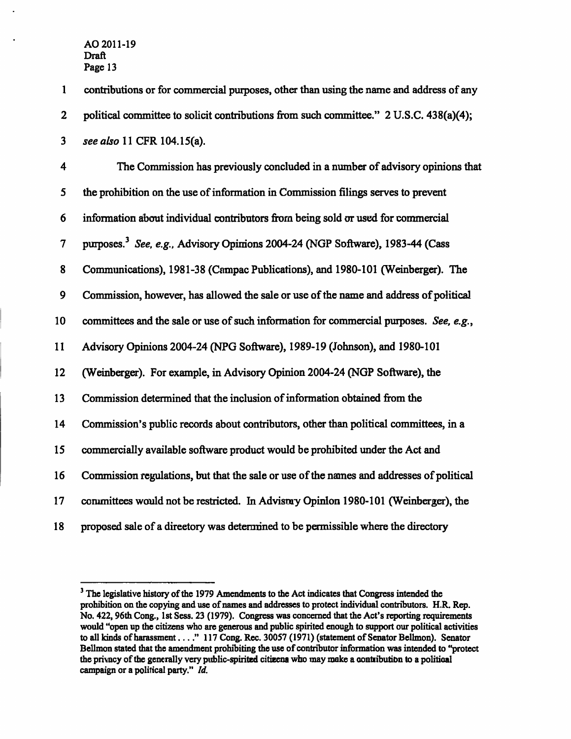| $\mathbf{1}$             | contributions or for commercial purposes, other than using the name and address of any    |
|--------------------------|-------------------------------------------------------------------------------------------|
| $\boldsymbol{2}$         | political committee to solicit contributions from such committee." 2 U.S.C. 438(a)(4);    |
| $\mathbf{3}$             | see also 11 CFR 104.15(a).                                                                |
| $\overline{\mathbf{4}}$  | The Commission has previously concluded in a number of advisory opinions that             |
| 5                        | the prohibition on the use of information in Commission filings serves to prevent         |
| 6                        | information about individual contributors from being sold or used for commercial          |
| $\overline{\mathcal{I}}$ | purposes. <sup>3</sup> See, e.g., Advisory Opinions 2004-24 (NGP Software), 1983-44 (Cass |
| 8                        | Communications), 1981-38 (Campac Publications), and 1980-101 (Weinberger). The            |
| 9                        | Commission, however, has allowed the sale or use of the name and address of political     |
| 10                       | committees and the sale or use of such information for commercial purposes. See, e.g.,    |
| 11                       | Advisory Opinions 2004-24 (NPG Software), 1989-19 (Johnson), and 1980-101                 |
| 12                       | (Weinberger). For example, in Advisory Opinion 2004-24 (NGP Software), the                |
| 13                       | Commission determined that the inclusion of information obtained from the                 |
| 14                       | Commission's public records about contributors, other than political committees, in a     |
| 15                       | commercially available software product would be prohibited under the Act and             |
| 16                       | Commission regulations, but that the sale or use of the names and addresses of political  |
| 17                       | committees would not be restricted. In Advismy Opinion 1980-101 (Weinberger), the         |
| 18                       | proposed sale of a directory was determined to be permissible where the directory         |

<sup>&</sup>lt;sup>3</sup> The legislative history of the 1979 Amendments to the Act indicates that Congress intended the **prohibition on the copying and use of names and addresses to protect individual contributors. H.R. Rep. No. 422,96th Cong., 1st Sess. 23 (1979). Congress was concemed that the Act's reporting requirements would "open up the citizens who are generous and public spirited enough to support our political activities**  to all kinds of harassment . . . ." 117 Cong. Rec. 30057 (1971) (statement of Senator Bellmon). Senator *Bellmon stated that the amendment prohibiting the use of contributor infonnation was intended to "protect the privacy of the generally very public-spirited citizens who may make a contribution to a political campaign or a political party." Id.*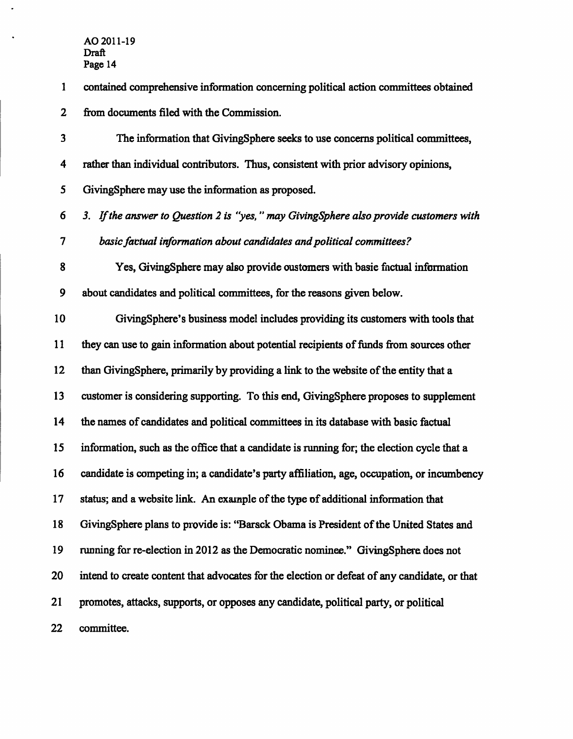$\mathbb{R}^2$ 

 $\ddot{\phantom{1}}$ 

| $\mathbf{1}$             | contained comprehensive information concerning political action committees obtained          |
|--------------------------|----------------------------------------------------------------------------------------------|
| $\mathbf{2}$             | from documents filed with the Commission.                                                    |
| 3                        | The information that GivingSphere seeks to use concerns political committees,                |
| 4                        | rather than individual contributors. Thus, consistent with prior advisory opinions,          |
| 5                        | GivingSphere may use the information as proposed.                                            |
| 6                        | 3. If the answer to Question 2 is "yes," may GivingSphere also provide customers with        |
| $\overline{\mathcal{L}}$ | basic factual information about candidates and political committees?                         |
| 8                        | Yes, GivingSphere may also provide oustomers with basic factual information                  |
| 9                        | about candidates and political committees, for the reasons given below.                      |
| 10                       | GivingSphere's business model includes providing its customers with tools that               |
| 11                       | they can use to gain information about potential recipients of funds from sources other      |
| 12                       | than GivingSphere, primarily by providing a link to the website of the entity that a         |
| 13                       | customer is considering supporting. To this end, GivingSphere proposes to supplement         |
| 14                       | the names of candidates and political committees in its database with basic factual          |
| 15                       | information, such as the office that a candidate is running for; the election cycle that a   |
| 16                       | candidate is competing in; a candidate's party affiliation, age, occupation, or incumbency   |
| 17                       | status; and a website link. An example of the type of additional information that            |
| 18                       | GivingSphere plans to provide is: "Barsck Obama is President of the United States and        |
| 19                       | running for re-election in 2012 as the Democratic nominee." GivingSphere does not            |
| 20                       | intend to create content that advocates for the election or defeat of any candidate, or that |
| 21                       | promotes, attacks, supports, or opposes any candidate, political party, or political         |
| 22                       | committee.                                                                                   |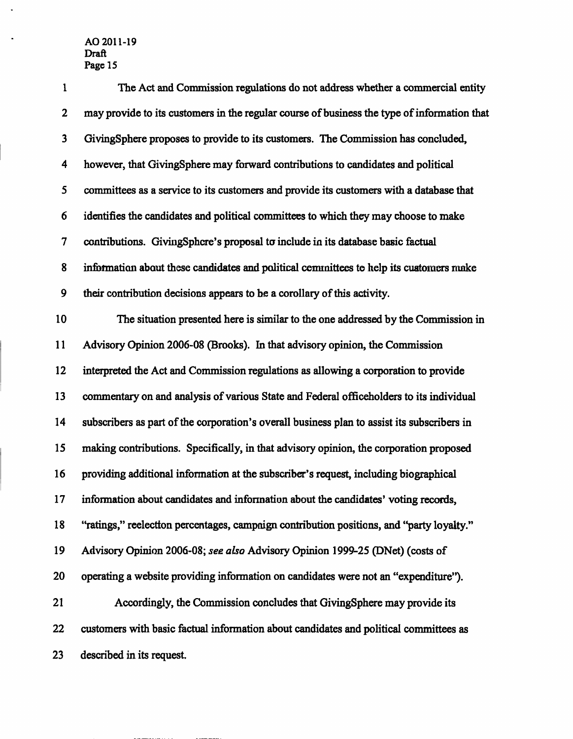$\ddot{\phantom{a}}$ 

 $\ddot{\phantom{a}}$ 

| $\mathbf{1}$     | The Act and Commission regulations do not address whether a commercial entity               |
|------------------|---------------------------------------------------------------------------------------------|
| $\mathbf{2}$     | may provide to its customers in the regular course of business the type of information that |
| 3                | GivingSphere proposes to provide to its customers. The Commission has concluded,            |
| 4                | however, that GivingSphere may forward contributions to candidates and political            |
| 5                | committees as a service to its customers and provide its customers with a database that     |
| 6                | identifies the candidates and political committees to which they may choose to make         |
| $\boldsymbol{7}$ | contributions. GivingSphere's proposal to include in its database basic factual             |
| 8                | information about these candidates and political cemmittees to help its customers make      |
| 9                | their contribution decisions appears to be a corollary of this activity.                    |
| 10               | The situation presented here is similar to the one addressed by the Commission in           |
| 11               | Advisory Opinion 2006-08 (Brooks). In that advisory opinion, the Commission                 |
| 12               | interpreted the Act and Commission regulations as allowing a corporation to provide         |
| 13               | commentary on and analysis of various State and Federal officeholders to its individual     |
| 14               | subscribers as part of the corporation's overall business plan to assist its subscribers in |
| 15               | making contributions. Specifically, in that advisory opinion, the corporation proposed      |
| 16               | providing additional information at the subscriber's request, including biographical        |
| 17               | information about candidates and information about the candidates' voting records,          |
| 18               | "ratings," reelection percentages, campnign contribution positions, and "party loyalty."    |
| 19               | Advisory Opinion 2006-08; see also Advisory Opinion 1999-25 (DNet) (costs of                |
| 20               | operating a website providing information on candidates were not an "expenditure").         |
| 21               | Accordingly, the Commission concludes that GivingSphere may provide its                     |
| 22               | customers with basic factual information about candidates and political committees as       |
| 23               | described in its request.                                                                   |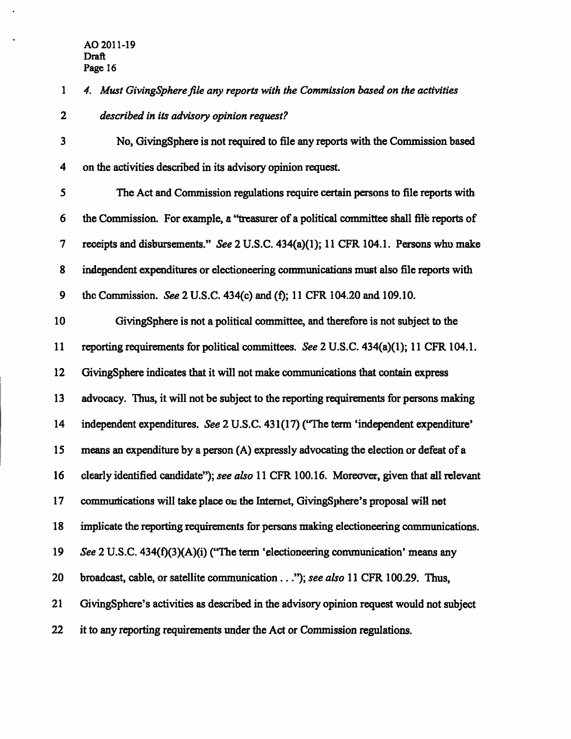*1 4. Must GivingSphere file any reports with the Commission based on the activities 2 described in its advisory opinion request?* 

**3 No, GivingSphere is not required to file any reports with the Commission based 4 on the activities described in its advisory opinion request.** 

**5 The Act and Commission regulations require certain persons to file reports with 6 the Commission. For example, a "treasurer of a political committee shall file reports of 7 receipts and disbursements." See 2 U.S.C. 434(a)(1); 11 CFR 104.1. Persons who make 8 independent expenditures or electioneering communications must also file reports with**  9 the Commission. See 2 U.S.C. 434(c) and (f); 11 CFR 104.20 and 109.10.

**10 GivingSphere is not a political committee, and therefore is not subject to the 11 reporting requirements for political committees. See 2 U.S.C. 434(a)(1); 11 CFR 104.1.**  12 GivingSphere indicates that it will not make communications that contain express **13 advocacy. Thus, it will not be subject to the reporting requirements for persons making 14 independent expenditures. See 2 U.S.C. 431(17) (\*The term 'independent expenditure' 15 means an expenditure by a person (A) expressly advocating the election or defeat of a 16 clearly identified candidate"); see also 11 CFR 100.16. Moreover, given that all relevant**  17 communications will take place on the Internet, GivingSphere's proposal will not **18 implicate the reporting requirements for persons making electioneering communications. 19 See 2 U.S.C. 434(f)(3)(A)(i) ("The term 'electioneering communication' means any 20 broadcast, cable, or satellite commimication..."); see also 11 CFR 100.29. Thus, 21 GivingSphere's activities as described in the advisory opinion request would not subject 22 it to any reporting requirements under the Act or Commission regulations.**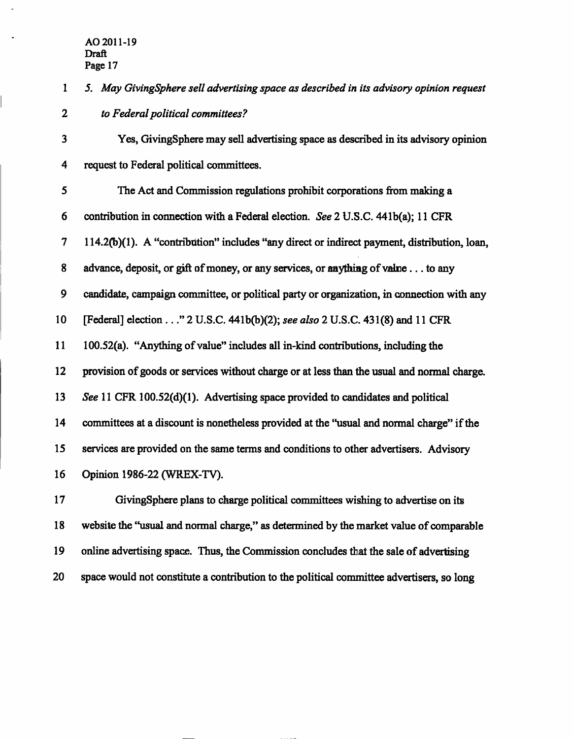*1 5. May GivingSphere sell advertising space as described in its advisory opinion request 2 to Federal political committees?* 

**3 Yes, CjivingSphere may sell advertising space as described in its advisory opinion 4 request to Federal political committees.** 

**5 The Act and Commission regulations prohibit corporations from making a 6 contribution in connection with a Federal election. See 2 U.S.C. 441b(a); 11 CFR 7 114.2(b)(1). A "contribution" includes "any direct or indirect payment, distribution, loan, 8 advance, deposit, or gift of money, or any services, or anything of value... to any 9 candidate, campaign committee, or political party or organization, in connection with any 10 [Federal] election ..." 2 U.S.C. 441b(b)(2); see also 2 U.S.C. 431(8) and 11 CFR 11 100.52(a). "Anything of value" includes all in-kind contributions, including the 12 provision of goods or services without charge or at less than the usual and normal charge. 13 See 11 CFR 100.52(d)(1). Advertising space provided to candidates and political**  14 committees at a discount is nonetheless provided at the "usual and normal charge" if the **15 services are provided on the same terms and conditions to other advertisers. Advisory 16 Opinion 1986-22 (WREX-TV).** 

**17 GivingSphere plans to charge political committees wishing to advertise on its 18 website the "usual and normal charge," as determined by the market value of comparable 19 online advertising space. Thus, the Commission concludes that the sale of advertising 20 space would not constitute a contribution to the political committee advertisers, so long**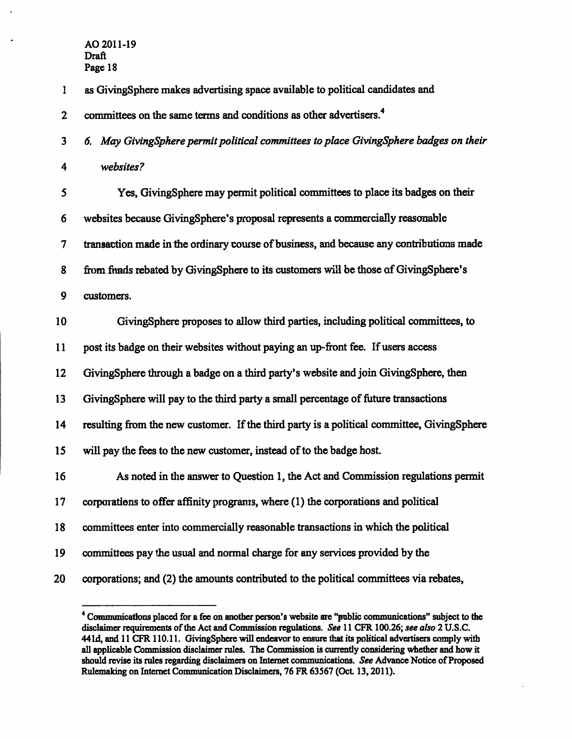**1 as GivingSphere makes advertising space available to political candidates and 2 committees on the same terms and conditions as other advertisers.^** 

*3 6. May GivingSphere permit political committees to place GivingSphere badges on their 4 websites?* 

| 5  | Yes, GivingSphere may permit political committees to place its badges on their             |
|----|--------------------------------------------------------------------------------------------|
| 6  | websites because GivingSphere's proposal represents a commercially reasonable              |
| 7  | transaction made in the ordinary course of business, and because any contributions made    |
| 8  | from finads rebated by GivingSphere to its customers will be those of GivingSphere's       |
| 9  | customers.                                                                                 |
| 10 | GivingSphere proposes to allow third parties, including political committees, to           |
| 11 | post its badge on their websites without paying an up-front fee. If users access           |
| 12 | GivingSphere through a badge on a third party's website and join GivingSphere, then        |
| 13 | GivingSphere will pay to the third party a small percentage of future transactions         |
| 14 | resulting from the new customer. If the third party is a political committee, GivingSphere |
| 15 | will pay the fees to the new customer, instead of to the badge host.                       |
| 16 | As noted in the answer to Question 1, the Act and Commission regulations permit            |
| 17 | corporations to offer affinity programs, where (1) the corporations and political          |
| 18 | committees enter into commercially reasonable transactions in which the political          |
| 19 | committees pay the usual and normal charge for any services provided by the                |
| 20 | corporations; and (2) the amounts contributed to the political committees via rebates,     |

**<sup>\*</sup> Communications placed for a fee on another person's website are "public communications" subject to the disclaimer requirements of the Act and Commission regulations. See 11 CFR 100.26; see also 2 U.S.C. 44Id, and 11 CFR 110.11. GivingSphere will endeavor to ensure that its political advertisers comply with all applicable Commission disclaimer rules. The Commission is currentiy considering whether and how it should revise its rules regarding disclaimers on Intemet communications. See Advance Notice of Proposed Rulemaking on Intemet Communication Disclaimers, 76 FR 63567 (Oct. 13,2011).**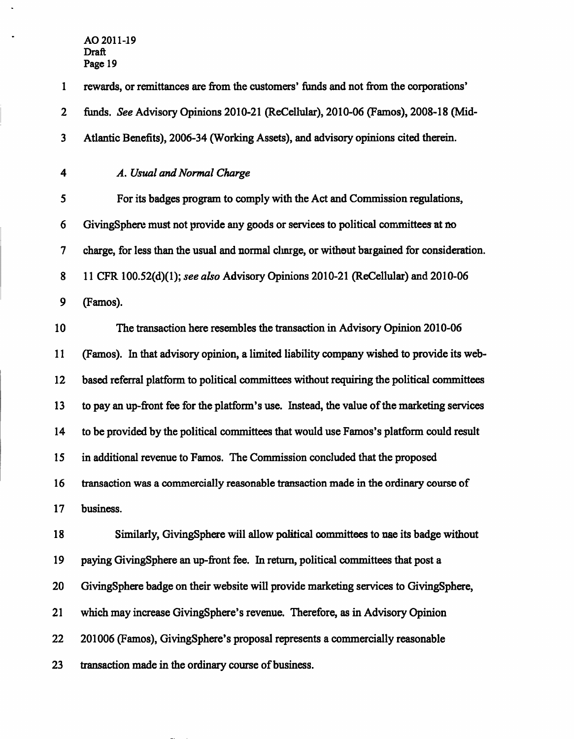$\ddot{\phantom{a}}$ 

 $\bullet$ 

| $\mathbf{1}$             | rewards, or remittances are from the customers' funds and not from the corporations'        |
|--------------------------|---------------------------------------------------------------------------------------------|
| $\boldsymbol{2}$         | funds. See Advisory Opinions 2010-21 (ReCellular), 2010-06 (Famos), 2008-18 (Mid-           |
| $\mathbf{3}$             | Atlantic Benefits), 2006-34 (Working Assets), and advisory opinions cited therein.          |
| 4                        | A. Usual and Normal Charge                                                                  |
| 5                        | For its badges program to comply with the Act and Commission regulations,                   |
| 6                        | GivingSphere must not provide any goods or services to political committees at no           |
| $\overline{\mathcal{L}}$ | charge, for less than the usual and normal clunge, or without bargained for consideration.  |
| 8                        | 11 CFR 100.52(d)(1); see also Advisory Opinions 2010-21 (ReCellular) and 2010-06            |
| 9                        | (Famos).                                                                                    |
| 10                       | The transaction here resembles the transaction in Advisory Opinion 2010-06                  |
| 11                       | (Famos). In that advisory opinion, a limited liability company wished to provide its web-   |
| 12                       | based referral platform to political committees without requiring the political committees  |
| 13                       | to pay an up-front fee for the platform's use. Instead, the value of the marketing services |
| 14                       | to be provided by the political committees that would use Famos's platform could result     |
| 15                       | in additional revenue to Famos. The Commission concluded that the proposed                  |
| 16                       | transaction was a commercially reasonable transaction made in the ordinary course of        |
| 17                       | business.                                                                                   |
| 18                       | Similarly, Giving Sphere will allow political committees to use its badge without           |
| 19                       | paying GivingSphere an up-front fee. In return, political committees that post a            |
| 20                       | GivingSphere badge on their website will provide marketing services to GivingSphere,        |
| 21                       | which may increase GivingSphere's revenue. Therefore, as in Advisory Opinion                |
| 22                       | 201006 (Famos), GivingSphere's proposal represents a commercially reasonable                |
| 23                       | transaction made in the ordinary course of business.                                        |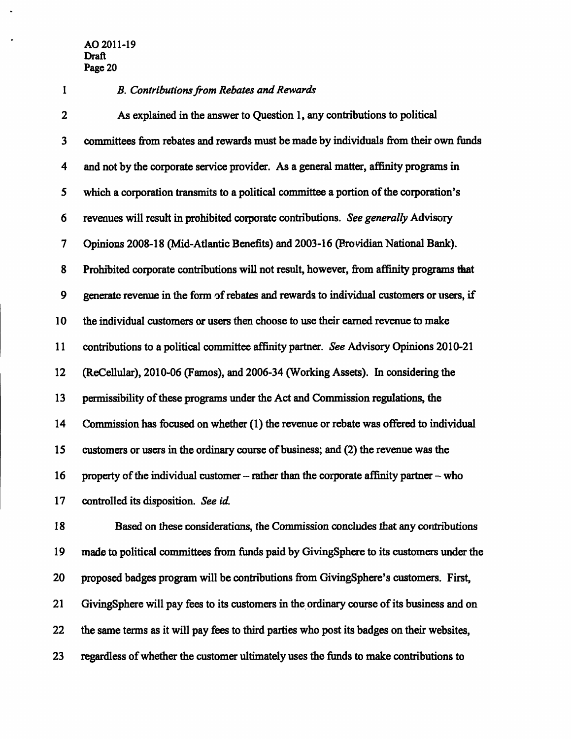#### *1 B. Contributions from Rebates and Rewards*

**2 As explained in the answer to Question 1, any contributions to political 3** committees from rebates and rewards must be made by individuals from their own funds **4 and not by the corporate service provider. As a general matter, affinity programs in 5 which a corporation transmits to a political committee a portion of the corporation's 6 revenues will result in prohibited corporate contributions. See generally Advisory 7 Opinions 2008-18 (Mid-Atiantic Benefits) and 2003-16 (Providian National Bank).**  8 Prohibited corporate contributions will not result, however, from affinity programs that **9 generate revenue in the form of rebates and rewards to individual customers or users, if 10 the individual customers or users then choose to use their eamed revenue to make 11 contributions to a political committee affinity partner. See Advisory Opinions 2010-21**  12 (ReCellular), 2010-06 (Famos), and 2006-34 (Working Assets). In considering the **13 permissibility of these programs under the Act and Commission regulations, the**  14 Commission has focused on whether (1) the revenue or rebate was offered to individual **15 customers or users in the ordinary course of business; and (2) the revenue was the 16 property of the individual customer - rather than the corporate affinity partner - who 17** controlled its disposition. See id.

**18 Based on these considerations, the Commission concludes that any contributions 19 made to political committees from fimds paid by GivingSphere to its customers under the**  20 proposed badges program will be contributions from GivingSphere's customers. First, **21 GivingSphere will pay fees to its customers in the ordinary course of its business and on 22 the same terms as it will pay fees to third parties who post its badges on their websites, 23 regardless of whether the customer ultimately uses the funds to make contributions to**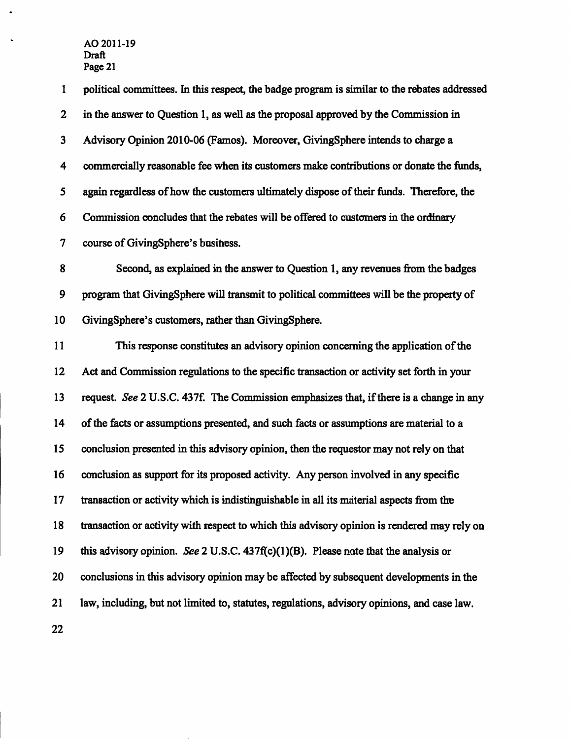**1 political committees. In this respect, the badge program is similar to the rebates addressed**  2 in the answer to Ouestion 1, as well as the proposal approved by the Commission in **3 Advisory Opinion 2010-06 (Famos). Moreover, GivingSphere intends to charge a 4 commercially reasonable fee when its customers make contributions or donate the funds, 5 again regardless of how the customers ultimately dispose of their funds. Therefore, the 6 Commission concludes that the rebates will be offered to customers in the ordinary 7 course of GivingSphere's business. 8 Second, as explained in the answer to Question 1, any revenues from the badges 9 program that CjivingSphere will transmit to political committees will be the property of 10 GivingSphere's customers, rather than GivingSphere. 11 This response constitutes an advisory opinion conceming the application of the 12 Act and Commission regulations to the specific transaction or activity set forth in your**  13 request. See 2 U.S.C. 437f. The Commission emphasizes that, if there is a change in any 14 of the facts or assumptions presented, and such facts or assumptions are material to a **15 conclusion presented in this advisory opinion, then the requestor may not rely on that 16 conclusion as support for its proposed activity. Any person involved in any specific 17 transaction or activity which is indistinguishable in all its material aspects firom the 18 transaction or activity with respect to which this advisory opinion is rendered may rely on 19 this advisory opinion. See 2 U.S.C. 437f(c)(l)(B). Please note that the analysis or 20 conclusions in this advisory opinion may be affected by subsequent developments in the 21 law, including, but not limited to, statutes, regulations, advisory opinions, and case law.** 

**22**